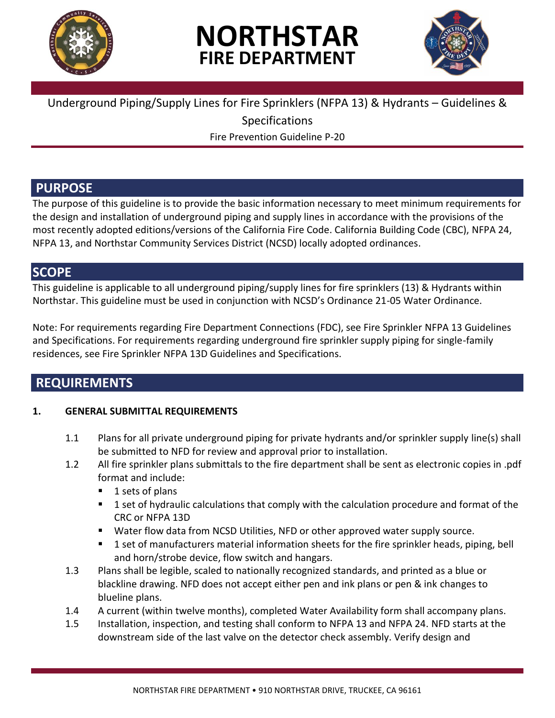

# **NORTHSTAR FIRE DEPARTMENT**



### Underground Piping/Supply Lines for Fire Sprinklers (NFPA 13) & Hydrants – Guidelines &

Specifications

Fire Prevention Guideline P-20

### **PURPOSE**

The purpose of this guideline is to provide the basic information necessary to meet minimum requirements for the design and installation of underground piping and supply lines in accordance with the provisions of the most recently adopted editions/versions of the California Fire Code. California Building Code (CBC), NFPA 24, NFPA 13, and Northstar Community Services District (NCSD) locally adopted ordinances.

### **SCOPE**

This guideline is applicable to all underground piping/supply lines for fire sprinklers (13) & Hydrants within Northstar. This guideline must be used in conjunction with NCSD's Ordinance 21-05 Water Ordinance.

Note: For requirements regarding Fire Department Connections (FDC), see Fire Sprinkler NFPA 13 Guidelines and Specifications. For requirements regarding underground fire sprinkler supply piping for single-family residences, see Fire Sprinkler NFPA 13D Guidelines and Specifications.

### **REQUIREMENTS**

### **1. GENERAL SUBMITTAL REQUIREMENTS**

- 1.1 Plans for all private underground piping for private hydrants and/or sprinkler supply line(s) shall be submitted to NFD for review and approval prior to installation.
- 1.2 All fire sprinkler plans submittals to the fire department shall be sent as electronic copies in .pdf format and include:
	- 1 sets of plans
	- **1** set of hydraulic calculations that comply with the calculation procedure and format of the CRC or NFPA 13D
	- Water flow data from NCSD Utilities, NFD or other approved water supply source.
	- 1 set of manufacturers material information sheets for the fire sprinkler heads, piping, bell and horn/strobe device, flow switch and hangars.
- 1.3 Plans shall be legible, scaled to nationally recognized standards, and printed as a blue or blackline drawing. NFD does not accept either pen and ink plans or pen & ink changes to blueline plans.
- 1.4 A current (within twelve months), completed Water Availability form shall accompany plans.
- 1.5 Installation, inspection, and testing shall conform to NFPA 13 and NFPA 24. NFD starts at the downstream side of the last valve on the detector check assembly. Verify design and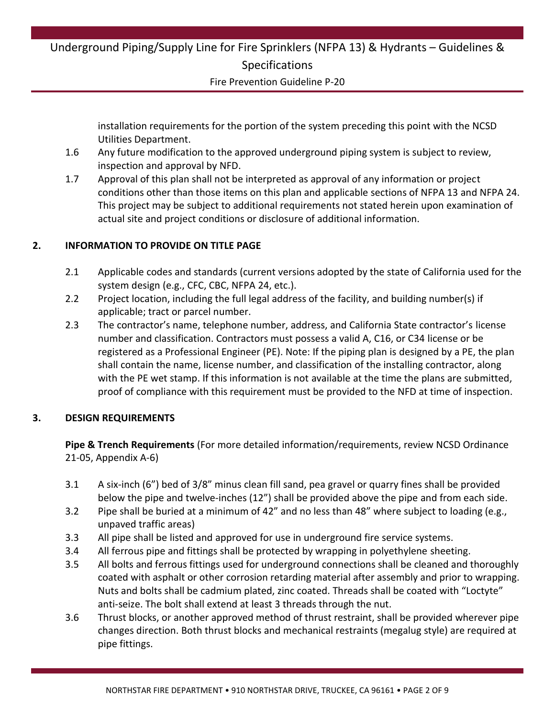Fire Prevention Guideline P-20

installation requirements for the portion of the system preceding this point with the NCSD Utilities Department.

- 1.6 Any future modification to the approved underground piping system is subject to review, inspection and approval by NFD.
- 1.7 Approval of this plan shall not be interpreted as approval of any information or project conditions other than those items on this plan and applicable sections of NFPA 13 and NFPA 24. This project may be subject to additional requirements not stated herein upon examination of actual site and project conditions or disclosure of additional information.

### **2. INFORMATION TO PROVIDE ON TITLE PAGE**

- 2.1 Applicable codes and standards (current versions adopted by the state of California used for the system design (e.g., CFC, CBC, NFPA 24, etc.).
- 2.2 Project location, including the full legal address of the facility, and building number(s) if applicable; tract or parcel number.
- 2.3 The contractor's name, telephone number, address, and California State contractor's license number and classification. Contractors must possess a valid A, C16, or C34 license or be registered as a Professional Engineer (PE). Note: If the piping plan is designed by a PE, the plan shall contain the name, license number, and classification of the installing contractor, along with the PE wet stamp. If this information is not available at the time the plans are submitted, proof of compliance with this requirement must be provided to the NFD at time of inspection.

### **3. DESIGN REQUIREMENTS**

**Pipe & Trench Requirements** (For more detailed information/requirements, review NCSD Ordinance 21-05, Appendix A-6)

- 3.1 A six-inch (6") bed of 3/8" minus clean fill sand, pea gravel or quarry fines shall be provided below the pipe and twelve-inches (12") shall be provided above the pipe and from each side.
- 3.2 Pipe shall be buried at a minimum of 42" and no less than 48" where subject to loading (e.g., unpaved traffic areas)
- 3.3 All pipe shall be listed and approved for use in underground fire service systems.
- 3.4 All ferrous pipe and fittings shall be protected by wrapping in polyethylene sheeting.
- 3.5 All bolts and ferrous fittings used for underground connections shall be cleaned and thoroughly coated with asphalt or other corrosion retarding material after assembly and prior to wrapping. Nuts and bolts shall be cadmium plated, zinc coated. Threads shall be coated with "Loctyte" anti-seize. The bolt shall extend at least 3 threads through the nut.
- 3.6 Thrust blocks, or another approved method of thrust restraint, shall be provided wherever pipe changes direction. Both thrust blocks and mechanical restraints (megalug style) are required at pipe fittings.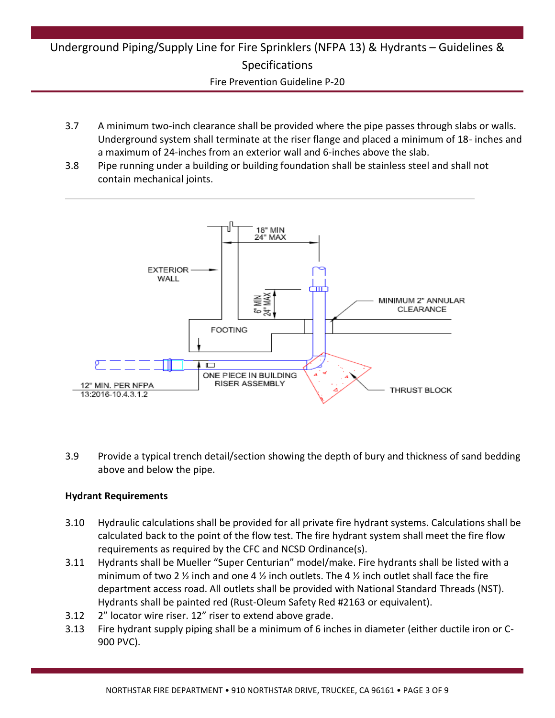Fire Prevention Guideline P-20

- 3.7 A minimum two-inch clearance shall be provided where the pipe passes through slabs or walls. Underground system shall terminate at the riser flange and placed a minimum of 18- inches and a maximum of 24-inches from an exterior wall and 6-inches above the slab.
- 3.8 Pipe running under a building or building foundation shall be stainless steel and shall not contain mechanical joints.



3.9 Provide a typical trench detail/section showing the depth of bury and thickness of sand bedding above and below the pipe.

### **Hydrant Requirements**

- 3.10 Hydraulic calculations shall be provided for all private fire hydrant systems. Calculations shall be calculated back to the point of the flow test. The fire hydrant system shall meet the fire flow requirements as required by the CFC and NCSD Ordinance(s).
- 3.11 Hydrants shall be Mueller "Super Centurian" model/make. Fire hydrants shall be listed with a minimum of two 2  $\frac{1}{2}$  inch and one 4  $\frac{1}{2}$  inch outlets. The 4  $\frac{1}{2}$  inch outlet shall face the fire department access road. All outlets shall be provided with National Standard Threads (NST). Hydrants shall be painted red (Rust-Oleum Safety Red #2163 or equivalent).
- 3.12 2" locator wire riser. 12" riser to extend above grade.
- 3.13 Fire hydrant supply piping shall be a minimum of 6 inches in diameter (either ductile iron or C-900 PVC).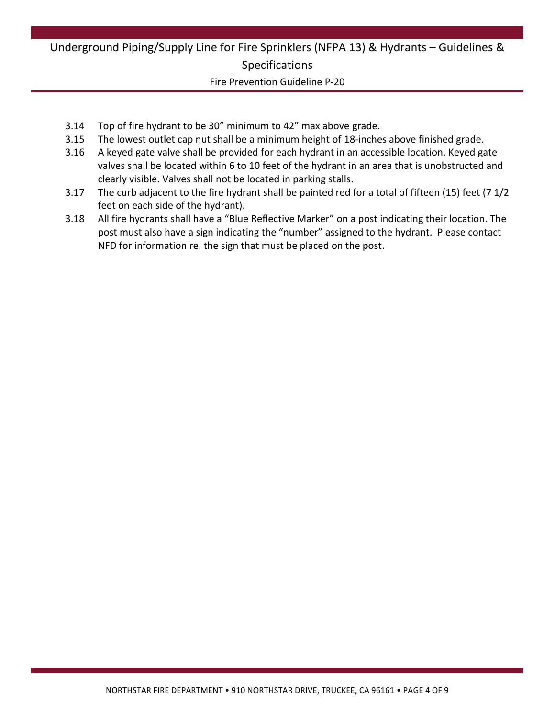Fire Prevention Guideline P-20

- 3.14 Top of fire hydrant to be 30" minimum to 42" max above grade.
- 3.15 The lowest outlet cap nut shall be a minimum height of 18-inches above finished grade.
- 3.16 A keyed gate valve shall be provided for each hydrant in an accessible location. Keyed gate valves shall be located within 6 to 10 feet of the hydrant in an area that is unobstructed and clearly visible. Valves shall not be located in parking stalls.
- 3.17 The curb adjacent to the fire hydrant shall be painted red for a total of fifteen (15) feet (7 1/2 feet on each side of the hydrant).
- 3.18 All fire hydrants shall have a "Blue Reflective Marker" on a post indicating their location. The post must also have a sign indicating the "number" assigned to the hydrant. Please contact NFD for information re. the sign that must be placed on the post.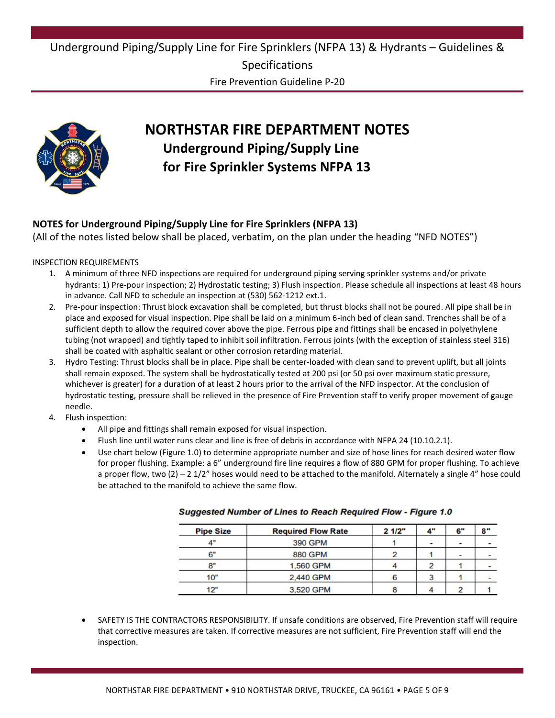Fire Prevention Guideline P-20



# **NORTHSTAR FIRE DEPARTMENT NOTES Underground Piping/Supply Line for Fire Sprinkler Systems NFPA 13**

### **NOTES for Underground Piping/Supply Line for Fire Sprinklers (NFPA 13)**

(All of the notes listed below shall be placed, verbatim, on the plan under the heading "NFD NOTES")

#### INSPECTION REQUIREMENTS

- 1. A minimum of three NFD inspections are required for underground piping serving sprinkler systems and/or private hydrants: 1) Pre-pour inspection; 2) Hydrostatic testing; 3) Flush inspection. Please schedule all inspections at least 48 hours in advance. Call NFD to schedule an inspection at (530) 562-1212 ext.1.
- 2. Pre-pour inspection: Thrust block excavation shall be completed, but thrust blocks shall not be poured. All pipe shall be in place and exposed for visual inspection. Pipe shall be laid on a minimum 6-inch bed of clean sand. Trenches shall be of a sufficient depth to allow the required cover above the pipe. Ferrous pipe and fittings shall be encased in polyethylene tubing (not wrapped) and tightly taped to inhibit soil infiltration. Ferrous joints (with the exception of stainless steel 316) shall be coated with asphaltic sealant or other corrosion retarding material.
- 3. Hydro Testing: Thrust blocks shall be in place. Pipe shall be center-loaded with clean sand to prevent uplift, but all joints shall remain exposed. The system shall be hydrostatically tested at 200 psi (or 50 psi over maximum static pressure, whichever is greater) for a duration of at least 2 hours prior to the arrival of the NFD inspector. At the conclusion of hydrostatic testing, pressure shall be relieved in the presence of Fire Prevention staff to verify proper movement of gauge needle.
- 4. Flush inspection:
	- All pipe and fittings shall remain exposed for visual inspection.
	- Flush line until water runs clear and line is free of debris in accordance with NFPA 24 (10.10.2.1).
	- Use chart below (Figure 1.0) to determine appropriate number and size of hose lines for reach desired water flow for proper flushing. Example: a 6" underground fire line requires a flow of 880 GPM for proper flushing. To achieve a proper flow, two  $(2) - 2$  1/2" hoses would need to be attached to the manifold. Alternately a single 4" hose could be attached to the manifold to achieve the same flow.

| <b>Pipe Size</b> | <b>Required Flow Rate</b> | 21/2" | 4" | 6"                       | 8"                       |
|------------------|---------------------------|-------|----|--------------------------|--------------------------|
|                  | 390 GPM                   |       | ٠  | $\overline{\phantom{a}}$ | ٠                        |
| 6"               | <b>880 GPM</b>            |       |    | $\overline{\phantom{a}}$ |                          |
| o=               | 1,560 GPM                 |       |    |                          | $\overline{\phantom{a}}$ |
| 10"              | 2,440 GPM                 |       |    |                          | $\overline{\phantom{a}}$ |
| 12"              | 3,520 GPM                 |       |    |                          |                          |

#### **Suggested Number of Lines to Reach Required Flow - Figure 1.0**

 SAFETY IS THE CONTRACTORS RESPONSIBILITY. If unsafe conditions are observed, Fire Prevention staff will require that corrective measures are taken. If corrective measures are not sufficient, Fire Prevention staff will end the inspection.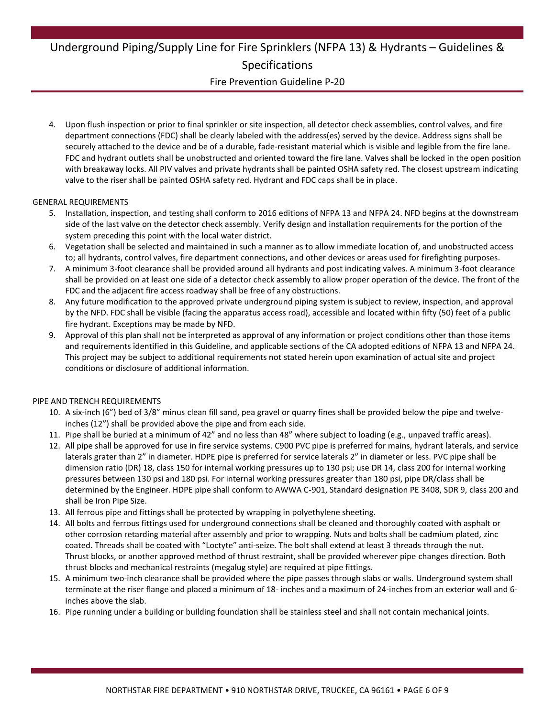#### Fire Prevention Guideline P-20

4. Upon flush inspection or prior to final sprinkler or site inspection, all detector check assemblies, control valves, and fire department connections (FDC) shall be clearly labeled with the address(es) served by the device. Address signs shall be securely attached to the device and be of a durable, fade-resistant material which is visible and legible from the fire lane. FDC and hydrant outlets shall be unobstructed and oriented toward the fire lane. Valves shall be locked in the open position with breakaway locks. All PIV valves and private hydrants shall be painted OSHA safety red. The closest upstream indicating valve to the riser shall be painted OSHA safety red. Hydrant and FDC caps shall be in place.

#### GENERAL REQUIREMENTS

- 5. Installation, inspection, and testing shall conform to 2016 editions of NFPA 13 and NFPA 24. NFD begins at the downstream side of the last valve on the detector check assembly. Verify design and installation requirements for the portion of the system preceding this point with the local water district.
- 6. Vegetation shall be selected and maintained in such a manner as to allow immediate location of, and unobstructed access to; all hydrants, control valves, fire department connections, and other devices or areas used for firefighting purposes.
- 7. A minimum 3-foot clearance shall be provided around all hydrants and post indicating valves. A minimum 3-foot clearance shall be provided on at least one side of a detector check assembly to allow proper operation of the device. The front of the FDC and the adjacent fire access roadway shall be free of any obstructions.
- 8. Any future modification to the approved private underground piping system is subject to review, inspection, and approval by the NFD. FDC shall be visible (facing the apparatus access road), accessible and located within fifty (50) feet of a public fire hydrant. Exceptions may be made by NFD.
- 9. Approval of this plan shall not be interpreted as approval of any information or project conditions other than those items and requirements identified in this Guideline, and applicable sections of the CA adopted editions of NFPA 13 and NFPA 24. This project may be subject to additional requirements not stated herein upon examination of actual site and project conditions or disclosure of additional information.

#### PIPE AND TRENCH REQUIREMENTS

- 10. A six-inch (6") bed of 3/8" minus clean fill sand, pea gravel or quarry fines shall be provided below the pipe and twelveinches (12") shall be provided above the pipe and from each side.
- 11. Pipe shall be buried at a minimum of 42" and no less than 48" where subject to loading (e.g., unpaved traffic areas).
- 12. All pipe shall be approved for use in fire service systems. C900 PVC pipe is preferred for mains, hydrant laterals, and service laterals grater than 2" in diameter. HDPE pipe is preferred for service laterals 2" in diameter or less. PVC pipe shall be dimension ratio (DR) 18, class 150 for internal working pressures up to 130 psi; use DR 14, class 200 for internal working pressures between 130 psi and 180 psi. For internal working pressures greater than 180 psi, pipe DR/class shall be determined by the Engineer. HDPE pipe shall conform to AWWA C-901, Standard designation PE 3408, SDR 9, class 200 and shall be Iron Pipe Size.
- 13. All ferrous pipe and fittings shall be protected by wrapping in polyethylene sheeting.
- 14. All bolts and ferrous fittings used for underground connections shall be cleaned and thoroughly coated with asphalt or other corrosion retarding material after assembly and prior to wrapping. Nuts and bolts shall be cadmium plated, zinc coated. Threads shall be coated with "Loctyte" anti-seize. The bolt shall extend at least 3 threads through the nut. Thrust blocks, or another approved method of thrust restraint, shall be provided wherever pipe changes direction. Both thrust blocks and mechanical restraints (megalug style) are required at pipe fittings.
- 15. A minimum two-inch clearance shall be provided where the pipe passes through slabs or walls. Underground system shall terminate at the riser flange and placed a minimum of 18- inches and a maximum of 24-inches from an exterior wall and 6 inches above the slab.
- 16. Pipe running under a building or building foundation shall be stainless steel and shall not contain mechanical joints.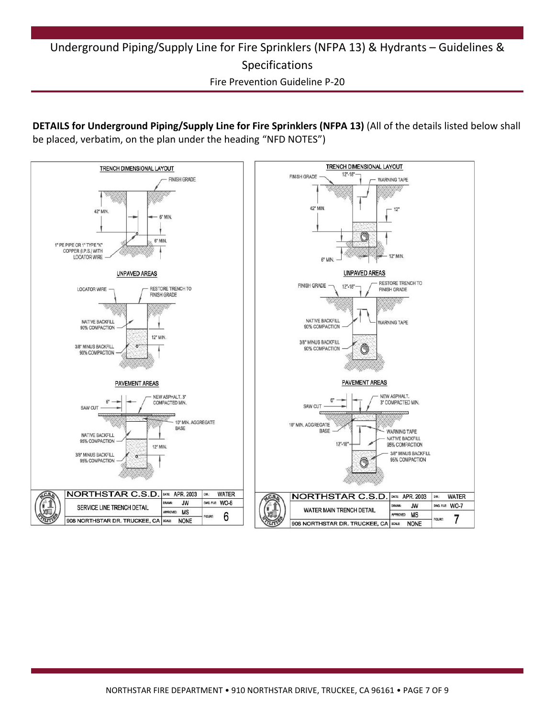### Underground Piping/Supply Line for Fire Sprinklers (NFPA 13) & Hydrants – Guidelines & Specifications Fire Prevention Guideline P-20

**DETAILS for Underground Piping/Supply Line for Fire Sprinklers (NFPA 13)** (All of the details listed below shall be placed, verbatim, on the plan under the heading "NFD NOTES")

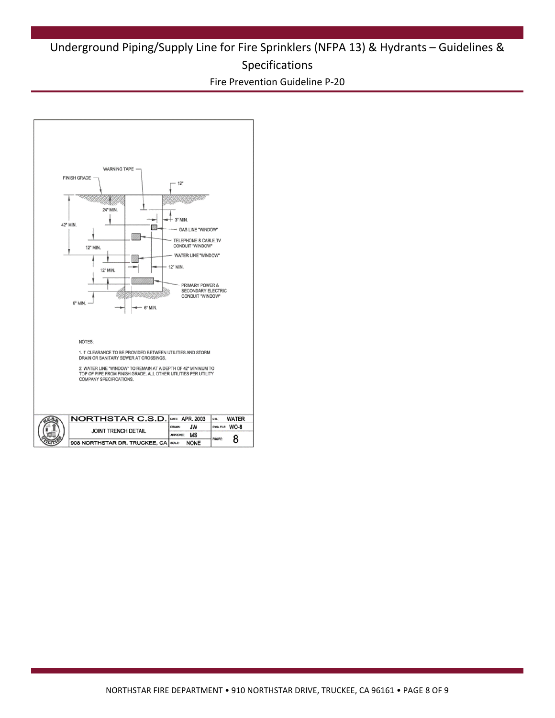Fire Prevention Guideline P-20